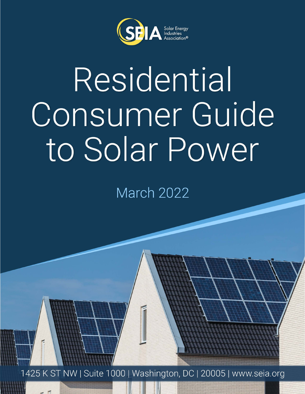

# Residential Consumer Guide to Solar Power

March 2022

1425 K ST NW | Suite 1000 | Washington, DC | 20005 | www.seia.org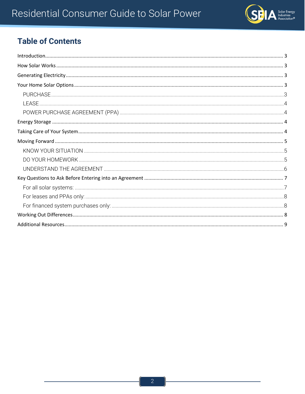

## **Table of Contents**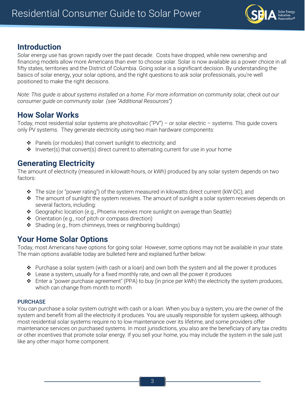

## <span id="page-2-0"></span>**Introduction**

Solar energy use has grown rapidly over the past decade. Costs have dropped, while new ownership and financing models allow more Americans than ever to choose solar. Solar is now available as a power choice in all fifty states, territories and the District of Columbia. Going solar is a significant decision. By understanding the basics of solar energy, your solar options, and the right questions to ask solar professionals, you're well positioned to make the right decisions.

*Note: This guide is about systems installed on a home. For more information on community solar, check out our consumer guide on community solar. (see "Additional Resources")*

## <span id="page-2-1"></span>**How Solar Works**

Today, most residential solar systems are photovoltaic ("PV") – or solar electric – systems. This guide covers only PV systems. They generate electricity using two main hardware components:

- $\triangle$  Panels (or modules) that convert sunlight to electricity; and
- $\triangleq$  Inverter(s) that convert(s) direct current to alternating current for use in your home

### <span id="page-2-2"></span>**Generating Electricity**

The amount of electricity (measured in kilowatt-hours, or kWh) produced by any solar system depends on two factors:

- $\div$  The size (or "power rating") of the system measured in kilowatts direct current (kW-DC); and
- $\cdot \cdot$  The amount of sunlight the system receives. The amount of sunlight a solar system receives depends on several factors, including:
- Geographic location (e.g., Phoenix receives more sunlight on average than Seattle)
- ◆ Orientation (e.g., roof pitch or compass direction)
- $\triangleleft$  Shading (e.g., from chimneys, trees or neighboring buildings)

## <span id="page-2-3"></span>**Your Home Solar Options**

Today, most Americans have options for going solar. However, some options may not be available in your state. The main options available today are bulleted here and explained further below:

- $\bullet$  Purchase a solar system (with cash or a loan) and own both the system and all the power it produces
- $\triangleleft$  Lease a system, usually for a fixed monthly rate, and own all the power it produces
- $\triangle$  Enter a "power purchase agreement" (PPA) to buy (in price per kWh) the electricity the system produces, which can change from month to month

#### <span id="page-2-4"></span>**PURCHASE**

You can purchase a solar system outright with cash or a loan. When you buy a system, you are the owner of the system and benefit from all the electricity it produces. You are usually responsible for system upkeep, although most residential solar systems require no to low maintenance over its lifetime, and some providers offer maintenance services on purchased systems. In most jurisdictions, you also are the beneficiary of any tax credits or other incentives that promote solar energy. If you sell your home, you may include the system in the sale just like any other major home component.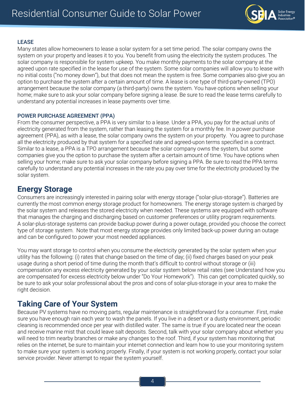

#### <span id="page-3-0"></span>LEASE

Many states allow homeowners to lease a solar system for a set time period. The solar company owns the system on your property and leases it to you. You benefit from using the electricity the system produces. The solar company is responsible for system upkeep. You make monthly payments to the solar company at the agreed upon rate specified in the lease for use of the system. Some solar companies will allow you to lease with no initial costs ("no money down"), but that does not mean the system is free. Some companies also give you an option to purchase the system after a certain amount of time. A lease is one type of third-party-owned (TPO) arrangement because the solar company (a third-party) owns the system. You have options when selling your home; make sure to ask your solar company before signing a lease. Be sure to read the lease terms carefully to understand any potential increases in lease payments over time.

#### <span id="page-3-1"></span>POWER PURCHASE AGREEMENT (PPA)

From the consumer perspective, a PPA is very similar to a lease. Under a PPA, you pay for the actual units of electricity generated from the system, rather than leasing the system for a monthly fee. In a power purchase agreement (PPA), as with a lease, the solar company owns the system on your property. You agree to purchase all the electricity produced by that system for a specified rate and agreed-upon terms specified in a contract. Similar to a lease, a PPA is a TPO arrangement because the solar company owns the system, but some companies give you the option to purchase the system after a certain amount of time. You have options when selling your home; make sure to ask your solar company before signing a PPA. Be sure to read the PPA terms carefully to understand any potential increases in the rate you pay over time for the electricity produced by the solar system.

## <span id="page-3-2"></span>**Energy Storage**

Consumers are increasingly interested in pairing solar with energy storage ("solar-plus-storage"). Batteries are currently the most common energy storage product for homeowners. The energy storage system is charged by the solar system and releases the stored electricity when needed. These systems are equipped with software that manages the charging and discharging based on customer preferences or utility program requirements. A solar-plus-storage systems can provide backup power during a power outage, provided you choose the correct type of storage system. Note that most energy storage provides only limited back-up power during an outage and can be configured to power your most needed appliances.

You may want storage to control when you consume the electricity generated by the solar system when your utility has the following: (i) rates that change based on the time of day; (ii) fixed charges based on your peak usage during a short period of time during the month that's difficult to control without storage or (iii) compensation any excess electricity generated by your solar system below retail rates (see Understand how you are compensated for excess electricity below under "Do Your Homework"). This can get complicated quickly, so be sure to ask your solar professional about the pros and cons of solar-plus-storage in your area to make the right decision.

## <span id="page-3-3"></span>**Taking Care of Your System**

Because PV systems have no moving parts, regular maintenance is straightforward for a consumer. First, make sure you have enough rain each year to wash the panels. If you live in a desert or a dusty environment, periodic cleaning is recommended once per year with distilled water. The same is true if you are located near the ocean and receive marine mist that could leave salt deposits. Second, talk with your solar company about whether you will need to trim nearby branches or make any changes to the roof. Third, if your system has monitoring that relies on the internet, be sure to maintain your internet connection and learn how to use your monitoring system to make sure your system is working properly. Finally, if your system is not working properly, contact your solar service provider. Never attempt to repair the system yourself.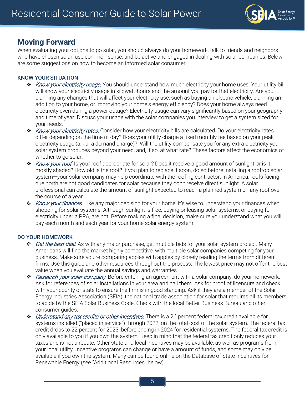

## <span id="page-4-0"></span>**Moving Forward**

When evaluating your options to go solar, you should always do your homework, talk to friends and neighbors who have chosen solar, use common sense, and be active and engaged in dealing with solar companies. Below are some suggestions on how to become an informed solar consumer.

#### <span id="page-4-1"></span>KNOW YOUR SITUATION

- \* Know your electricity usage. You should understand how much electricity your home uses. Your utility bill will show your electricity usage in kilowatt-hours and the amount you pay for that electricity. Are you planning any changes that will affect your electricity use, such as buying an electric vehicle, planning an addition to your home, or improving your home's energy efficiency? Does your home always need electricity even during a power outage? Electricity usage can vary significantly based on your geography and time of year. Discuss your usage with the solar companies you interview to get a system sized for your needs.
- \* Know your electricity rates. Consider how your electricity bills are calculated. Do your electricity rates differ depending on the time of day? Does your utility charge a fixed monthly fee based on your peak electricity usage (a.k.a. a demand charge)? Will the utility compensate you for any extra electricity your solar system produces beyond your need, and, if so, at what rate? These factors affect the economics of whether to go solar.
- ◆ Know your roof. Is your roof appropriate for solar? Does it receive a good amount of sunlight or is it mostly shaded? How old is the roof? If you plan to replace it soon, do so before installing a rooftop solar system—your solar company may help coordinate with the roofing contractor. In America, roofs facing due north are not good candidates for solar because they don't receive direct sunlight. A solar professional can calculate the amount of sunlight expected to reach a planned system on any roof over the course of a year.
- \* Know your finances. Like any major decision for your home, it's wise to understand your finances when shopping for solar systems. Although sunlight is free, buying or leasing solar systems, or paying for electricity under a PPA, are not. Before making a final decision, make sure you understand what you will pay each month and each year for your home solar energy system.

#### <span id="page-4-2"></span>DO YOUR HOMEWORK

- ◆ Get the best deal. As with any major purchase, get multiple bids for your solar system project. Many Americans will find the market highly competitive, with multiple solar companies competing for your business. Make sure you're comparing apples with apples by closely reading the terms from different firms. Use this guide and other resources throughout the process. The lowest price may not offer the best value when you evaluate the annual savings and warranties.
- \* Research your solar company. Before entering an agreement with a solar company, do your homework. Ask for references of solar installations in your area and call them. Ask for proof of licensure and check with your county or state to ensure the firm is in good standing. Ask if they are a member of the Solar Energy Industries Association (SEIA), the national trade association for solar that requires all its members to abide by the SEIA Solar Business Code. Check with the local Better Business Bureau and other consumer guides.
- ◆ Understand any tax credits or other incentives. There is a 26 percent federal tax credit available for systems installed ("placed in service") through 2022, on the total cost of the solar system. The federal tax credit drops to 22 percent for 2023, before ending in 2024 for residential systems. The federal tax credit is only available to you if you own the system. Keep in mind that the federal tax credit only reduces your taxes and is not a rebate. Other state and local incentives may be available, as well as programs from your local utility. Incentive programs can change or have a amount of funds, and some may only be available if you own the system. Many can be found online on the Database of State Incentives for Renewable Energy (see "Additional Resources" below).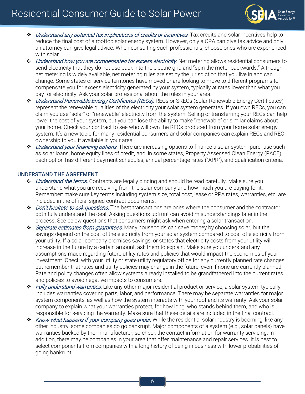# Residential Consumer Guide to Solar Power



- Understand any potential tax implications of credits or incentives. Tax credits and solar incentives help to reduce the final cost of a rooftop solar energy system. However, only a CPA can give tax advice and only an attorney can give legal advice. When consulting such professionals, choose ones who are experienced with solar.
- \* Understand how you are compensated for excess electricity. Net metering allows residential consumers to send electricity that they do not use back into the electric grid and "spin the meter backwards." Although net metering is widely available, net metering rules are set by the jurisdiction that you live in and can change. Some states or service territories have moved or are looking to move to different programs to compensate you for excess electricity generated by your system, typically at rates lower than what you pay for electricity. Ask your solar professional about the rules in your area.
- Understand Renewable Energy Certificates (RECs). RECs or SRECs (Solar Renewable Energy Certificates) represent the renewable qualities of the electricity your solar system generates. If you own RECs, you can claim you use "solar" or "renewable" electricity from the system. Selling or transferring your RECs can help lower the cost of your system, but you can lose the ability to make "renewable" or similar claims about your home. Check your contract to see who will own the RECs produced from your home solar energy system. It's a new topic for many residential consumers and solar companies can explain RECs and REC ownership to you if available in your area.
- ◆ Understand your financing options. There are increasing options to finance a solar system purchase such as solar loans, home equity lines of credit, and, in some states, Property Assessed Clean Energy (PACE). Each option has different payment schedules, annual percentage rates ("APR"), and qualification criteria.

#### <span id="page-5-0"></span>UNDERSTAND THE AGREEMENT

- ◆ *Understand the terms*. Contracts are legally binding and should be read carefully. Make sure you understand what you are receiving from the solar company and how much you are paying for it. Remember: make sure key terms including system size, total cost, lease or PPA rates, warranties, etc. are included in the official signed contract documents.
- ◆ *Don't hesitate to ask questions*. The best transactions are ones where the consumer and the contractor both fully understand the deal. Asking questions upfront can avoid misunderstandings later in the process. See below questions that consumers might ask when entering a solar transaction.
- Separate estimates from guarantees. Many households can save money by choosing solar, but the savings depend on the cost of the electricity from your solar system compared to cost of electricity from your utility. If a solar company promises savings, or states that electricity costs from your utility will increase in the future by a certain amount, ask them to explain. Make sure you understand any assumptions made regarding future utility rates and policies that would impact the economics of your investment. Check with your utility or state utility regulatory office for any currently planned rate changes but remember that rates and utility policies may change in the future, even if none are currently planned. Rate and policy changes often allow systems already installed to be grandfathered into the current rates and policies to avoid negative impacts to consumers.
- ◆ *Fully understand warranties*. Like any other major residential product or service, a solar system typically includes warranties covering parts, labor, and performance. There may be separate warranties for major system components, as well as how the system interacts with your roof and its warranty. Ask your solar company to explain what your warranties protect, for how long, who stands behind them, and who is responsible for servicing the warranty. Make sure that these details are included in the final contract.
- \* Know what happens if your company goes under. While the residential solar industry is booming, like any other industry, some companies do go bankrupt. Major components of a system (e.g., solar panels) have warranties backed by their manufacturer, so check the contact information for warranty servicing. In addition, there may be companies in your area that offer maintenance and repair services. It is best to select components from companies with a long history of being in business with lower probabilities of going bankrupt.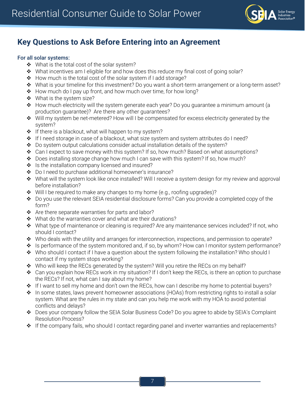

## <span id="page-6-0"></span>**Key Questions to Ask Before Entering into an Agreement**

#### <span id="page-6-1"></span>For all solar systems:

- ◆ What is the total cost of the solar system?
- \* What incentives am I eligible for and how does this reduce my final cost of going solar?
- How much is the total cost of the solar system if I add storage?
- \* What is your timeline for this investment? Do you want a short-term arrangement or a long-term asset?
- \* How much do I pay up front, and how much over time, for how long?
- ◆ What is the system size?
- \* How much electricity will the system generate each year? Do you guarantee a minimum amount (a production guarantee)? Are there any other guarantees?
- Will my system be net-metered? How will I be compensated for excess electricity generated by the system?
- $\cdot \cdot$  If there is a blackout, what will happen to my system?
- $\cdot \cdot$  If I need storage in case of a blackout, what size system and system attributes do I need?
- \* Do system output calculations consider actual installation details of the system?
- \* Can I expect to save money with this system? If so, how much? Based on what assumptions?
- Does installing storage change how much I can save with this system? If so, how much?
- ❖ Is the installation company licensed and insured?
- ◆ Do I need to purchase additional homeowner's insurance?
- \* What will the system look like once installed? Will I receive a system design for my review and approval before installation?
- $\bullet$  Will I be required to make any changes to my home (e.g., roofing upgrades)?
- Do you use the relevant SEIA residential disclosure forms? Can you provide a completed copy of the form?
- \* Are there separate warranties for parts and labor?
- ◆ What do the warranties cover and what are their durations?
- $\bullet$  What type of maintenance or cleaning is required? Are any maintenance services included? If not, who should I contact?
- \* Who deals with the utility and arranges for interconnection, inspections, and permission to operate?
- \* Is performance of the system monitored and, if so, by whom? How can I monitor system performance?
- $\bullet$  Who should I contact if I have a question about the system following the installation? Who should I contact if my system stops working?
- Who will keep the RECs generated by the system? Will you retire the RECs on my behalf?
- Can you explain how RECs work in my situation? If I don't keep the RECs, is there an option to purchase the RECs? If not, what can I say about my home?
- ◆ If I want to sell my home and don't own the RECs, how can I describe my home to potential buyers?
- ◆ In some states, laws prevent homeowner associations (HOAs) from restricting rights to install a solar system. What are the rules in my state and can you help me work with my HOA to avoid potential conflicts and delays?
- Does your company follow the SEIA Solar Business Code? Do you agree to abide by SEIA's Complaint Resolution Process?
- \* If the company fails, who should I contact regarding panel and inverter warranties and replacements?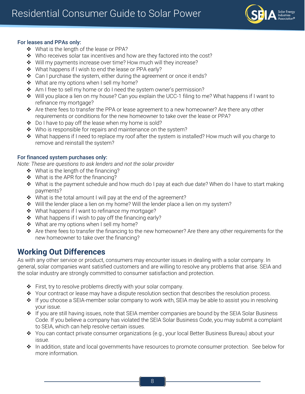

#### <span id="page-7-0"></span>For leases and PPAs only:

- ◆ What is the length of the lease or PPA?
- ◆ Who receives solar tax incentives and how are they factored into the cost?
- ◆ Will my payments increase over time? How much will they increase?
- ◆ What happens if I wish to end the lease or PPA early?
- $\div$  Can I purchase the system, either during the agreement or once it ends?
- ❖ What are my options when I sell my home?
- ❖ Am I free to sell my home or do I need the system owner's permission?
- Will you place a lien on my house? Can you explain the UCC-1 filing to me? What happens if I want to refinance my mortgage?
- \* Are there fees to transfer the PPA or lease agreement to a new homeowner? Are there any other requirements or conditions for the new homeowner to take over the lease or PPA?
- $\bullet$  Do I have to pay off the lease when my home is sold?
- $\cdot \cdot$  Who is responsible for repairs and maintenance on the system?
- $\triangleq$  What happens if I need to replace my roof after the system is installed? How much will you charge to remove and reinstall the system?

#### <span id="page-7-1"></span>For financed system purchases only:

*Note: These are questions to ask lenders and not the solar provider*

- $\div$  What is the length of the financing?
- $\div$  What is the APR for the financing?
- \* What is the payment schedule and how much do I pay at each due date? When do I have to start making payments?
- $\div$  What is the total amount I will pay at the end of the agreement?
- $\div$  Will the lender place a lien on my home? Will the lender place a lien on my system?
- $\cdot \cdot$  What happens if I want to refinance my mortgage?
- $\cdot \cdot$  What happens if I wish to pay off the financing early?
- ❖ What are my options when I sell my home?
- \* Are there fees to transfer the financing to the new homeowner? Are there any other requirements for the new homeowner to take over the financing?

## <span id="page-7-2"></span>**Working Out Differences**

As with any other service or product, consumers may encounter issues in dealing with a solar company. In general, solar companies want satisfied customers and are willing to resolve any problems that arise. SEIA and the solar industry are strongly committed to consumer satisfaction and protection.

- First, try to resolve problems directly with your solar company.
- \* Your contract or lease may have a dispute resolution section that describes the resolution process.
- $\cdot \cdot$  If you choose a SEIA-member solar company to work with, SEIA may be able to assist you in resolving your issue.
- If you are still having issues, note that SEIA member companies are bound by the SEIA Solar Business Code. If you believe a company has violated the SEIA Solar Business Code, you may submit a complaint to SEIA, which can help resolve certain issues.
- You can contact private consumer organizations (e.g., your local Better Business Bureau) about your issue.
- In addition, state and local governments have resources to promote consumer protection. See below for more information.